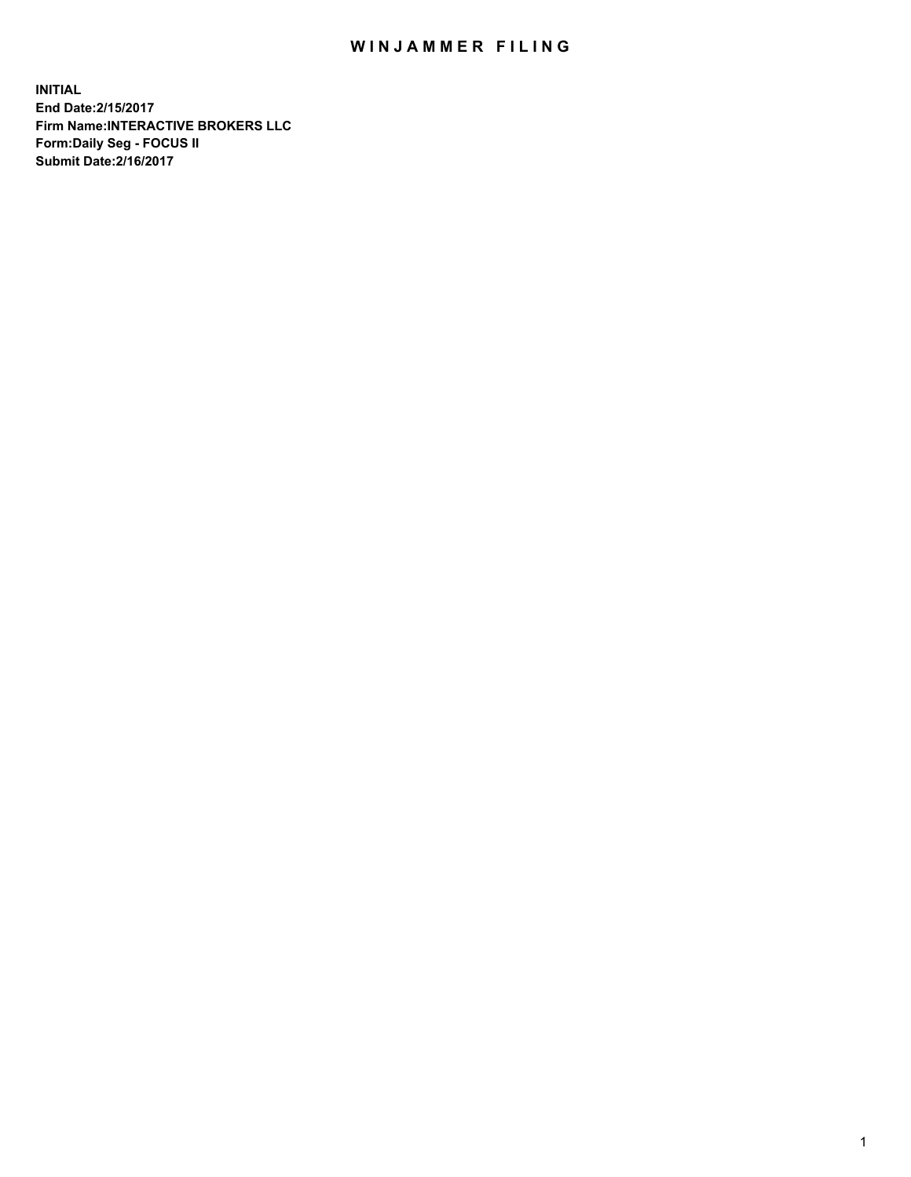## WIN JAMMER FILING

**INITIAL End Date:2/15/2017 Firm Name:INTERACTIVE BROKERS LLC Form:Daily Seg - FOCUS II Submit Date:2/16/2017**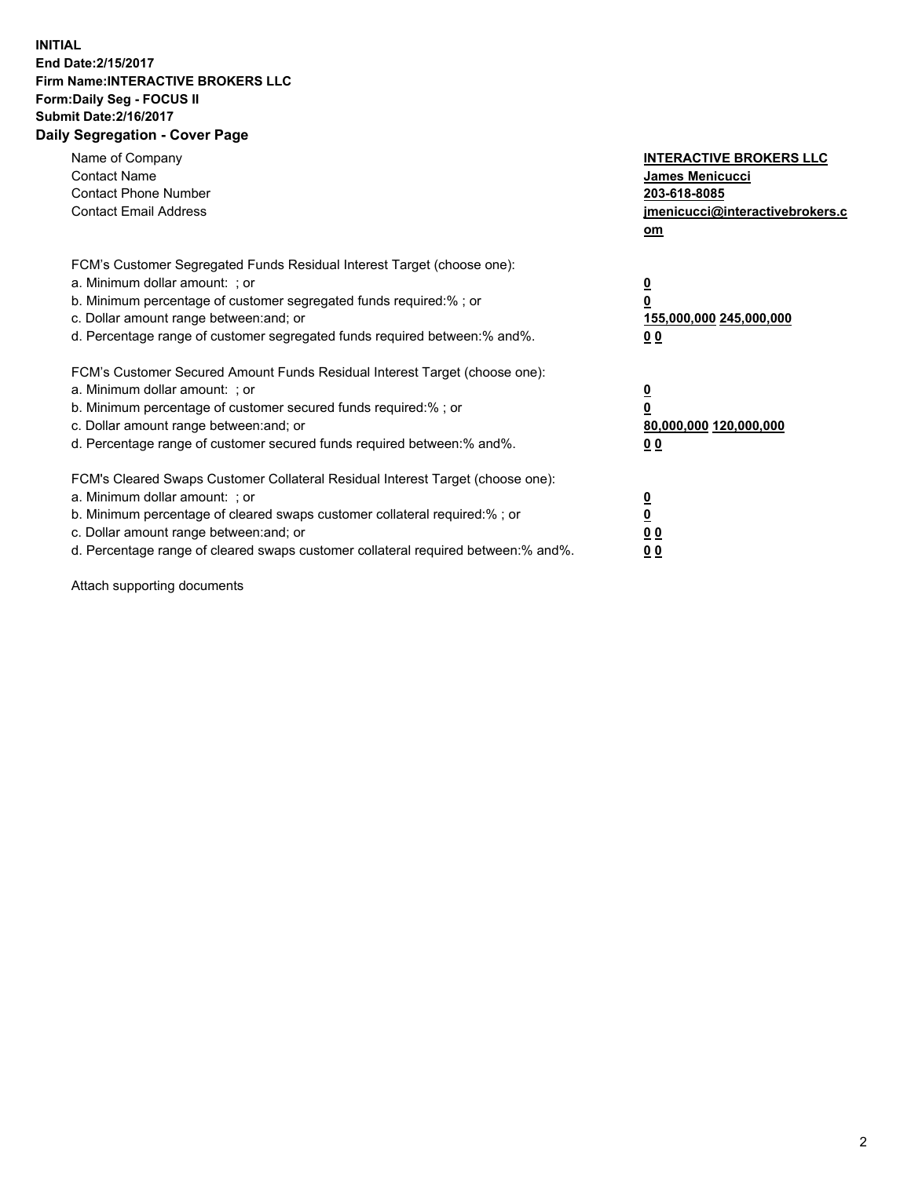## **INITIAL End Date:2/15/2017 Firm Name:INTERACTIVE BROKERS LLC Form:Daily Seg - FOCUS II Submit Date:2/16/2017 Daily Segregation - Cover Page**

| Name of Company<br><b>Contact Name</b><br><b>Contact Phone Number</b><br><b>Contact Email Address</b>                                                                                                                                                                                                                          | <b>INTERACTIVE BROKERS LLC</b><br>James Menicucci<br>203-618-8085<br>jmenicucci@interactivebrokers.c<br>om |
|--------------------------------------------------------------------------------------------------------------------------------------------------------------------------------------------------------------------------------------------------------------------------------------------------------------------------------|------------------------------------------------------------------------------------------------------------|
| FCM's Customer Segregated Funds Residual Interest Target (choose one):<br>a. Minimum dollar amount: ; or<br>b. Minimum percentage of customer segregated funds required:%; or<br>c. Dollar amount range between: and; or<br>d. Percentage range of customer segregated funds required between:% and%.                          | $\overline{\mathbf{0}}$<br>0<br>155,000,000 245,000,000<br>0 <sub>0</sub>                                  |
| FCM's Customer Secured Amount Funds Residual Interest Target (choose one):<br>a. Minimum dollar amount: ; or<br>b. Minimum percentage of customer secured funds required:%; or<br>c. Dollar amount range between: and; or<br>d. Percentage range of customer secured funds required between:% and%.                            | $\overline{\mathbf{0}}$<br>$\overline{\mathbf{0}}$<br>80,000,000 120,000,000<br>00                         |
| FCM's Cleared Swaps Customer Collateral Residual Interest Target (choose one):<br>a. Minimum dollar amount: ; or<br>b. Minimum percentage of cleared swaps customer collateral required:% ; or<br>c. Dollar amount range between: and; or<br>d. Percentage range of cleared swaps customer collateral required between:% and%. | $\overline{\mathbf{0}}$<br>$\overline{\mathbf{0}}$<br>0 <sub>0</sub><br><u>00</u>                          |

Attach supporting documents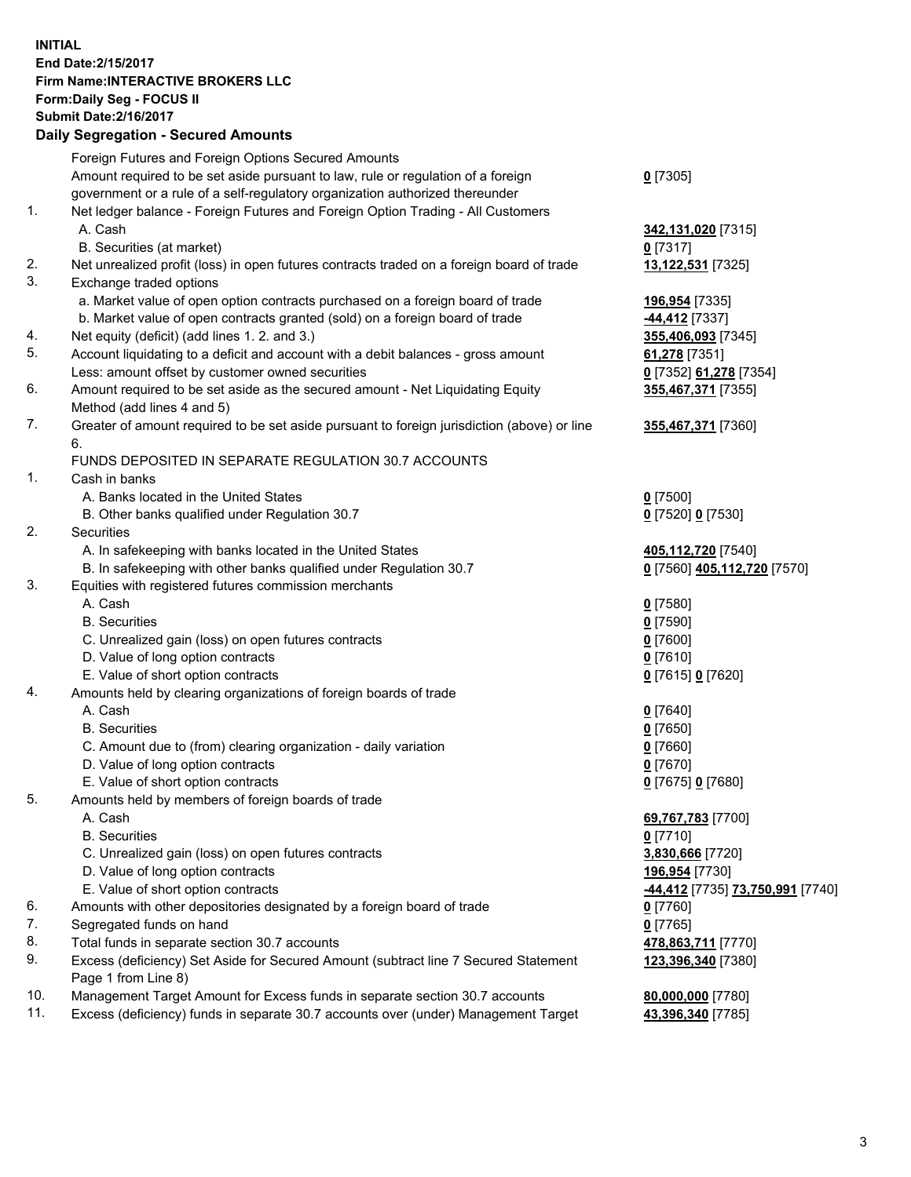## **INITIAL End Date:2/15/2017 Firm Name:INTERACTIVE BROKERS LLC Form:Daily Seg - FOCUS II Submit Date:2/16/2017 Daily Segregation - Secured Amounts**

|     | Foreign Futures and Foreign Options Secured Amounts                                                        |                                         |
|-----|------------------------------------------------------------------------------------------------------------|-----------------------------------------|
|     | Amount required to be set aside pursuant to law, rule or regulation of a foreign                           | $0$ [7305]                              |
|     | government or a rule of a self-regulatory organization authorized thereunder                               |                                         |
| 1.  | Net ledger balance - Foreign Futures and Foreign Option Trading - All Customers                            |                                         |
|     | A. Cash                                                                                                    | 342,131,020 [7315]                      |
|     | B. Securities (at market)                                                                                  | $0$ [7317]                              |
| 2.  | Net unrealized profit (loss) in open futures contracts traded on a foreign board of trade                  | 13,122,531 [7325]                       |
| 3.  | Exchange traded options                                                                                    |                                         |
|     | a. Market value of open option contracts purchased on a foreign board of trade                             | 196,954 [7335]                          |
|     | b. Market value of open contracts granted (sold) on a foreign board of trade                               | -44,412 [7337]                          |
| 4.  | Net equity (deficit) (add lines 1.2. and 3.)                                                               | 355,406,093 [7345]                      |
| 5.  | Account liquidating to a deficit and account with a debit balances - gross amount                          | 61,278 [7351]                           |
|     | Less: amount offset by customer owned securities                                                           | 0 [7352] 61,278 [7354]                  |
| 6.  | Amount required to be set aside as the secured amount - Net Liquidating Equity                             | 355,467,371 [7355]                      |
|     | Method (add lines 4 and 5)                                                                                 |                                         |
| 7.  | Greater of amount required to be set aside pursuant to foreign jurisdiction (above) or line                | 355,467,371 [7360]                      |
|     | 6.                                                                                                         |                                         |
|     | FUNDS DEPOSITED IN SEPARATE REGULATION 30.7 ACCOUNTS                                                       |                                         |
| 1.  | Cash in banks                                                                                              |                                         |
|     | A. Banks located in the United States                                                                      | $0$ [7500]                              |
|     | B. Other banks qualified under Regulation 30.7                                                             | 0 [7520] 0 [7530]                       |
| 2.  | Securities                                                                                                 |                                         |
|     | A. In safekeeping with banks located in the United States                                                  | 405,112,720 [7540]                      |
|     | B. In safekeeping with other banks qualified under Regulation 30.7                                         | 0 [7560] 405,112,720 [7570]             |
| 3.  | Equities with registered futures commission merchants                                                      |                                         |
|     | A. Cash                                                                                                    | $0$ [7580]                              |
|     | <b>B.</b> Securities                                                                                       | $0$ [7590]                              |
|     | C. Unrealized gain (loss) on open futures contracts                                                        | $0$ [7600]                              |
|     | D. Value of long option contracts                                                                          | $0$ [7610]                              |
|     | E. Value of short option contracts                                                                         | 0 [7615] 0 [7620]                       |
| 4.  | Amounts held by clearing organizations of foreign boards of trade                                          |                                         |
|     | A. Cash                                                                                                    | $0$ [7640]                              |
|     | <b>B.</b> Securities                                                                                       | $0$ [7650]                              |
|     | C. Amount due to (from) clearing organization - daily variation                                            | $0$ [7660]                              |
|     | D. Value of long option contracts                                                                          | $0$ [7670]                              |
|     | E. Value of short option contracts                                                                         | 0 [7675] 0 [7680]                       |
| 5.  | Amounts held by members of foreign boards of trade                                                         |                                         |
|     | A. Cash                                                                                                    | 69,767,783 [7700]                       |
|     | <b>B.</b> Securities                                                                                       | $0$ [7710]                              |
|     | C. Unrealized gain (loss) on open futures contracts                                                        | 3,830,666 [7720]                        |
|     | D. Value of long option contracts                                                                          | 196,954 [7730]                          |
|     | E. Value of short option contracts                                                                         | <u>-44,412</u> [7735] 73,750,991 [7740] |
| 6.  | Amounts with other depositories designated by a foreign board of trade                                     | 0 [7760]                                |
| 7.  | Segregated funds on hand                                                                                   | $0$ [7765]                              |
| 8.  | Total funds in separate section 30.7 accounts                                                              | 478,863,711 [7770]                      |
| 9.  | Excess (deficiency) Set Aside for Secured Amount (subtract line 7 Secured Statement<br>Page 1 from Line 8) | 123,396,340 [7380]                      |
| 10. | Management Target Amount for Excess funds in separate section 30.7 accounts                                | 80,000,000 [7780]                       |
| 11. | Excess (deficiency) funds in separate 30.7 accounts over (under) Management Target                         | 43,396,340 [7785]                       |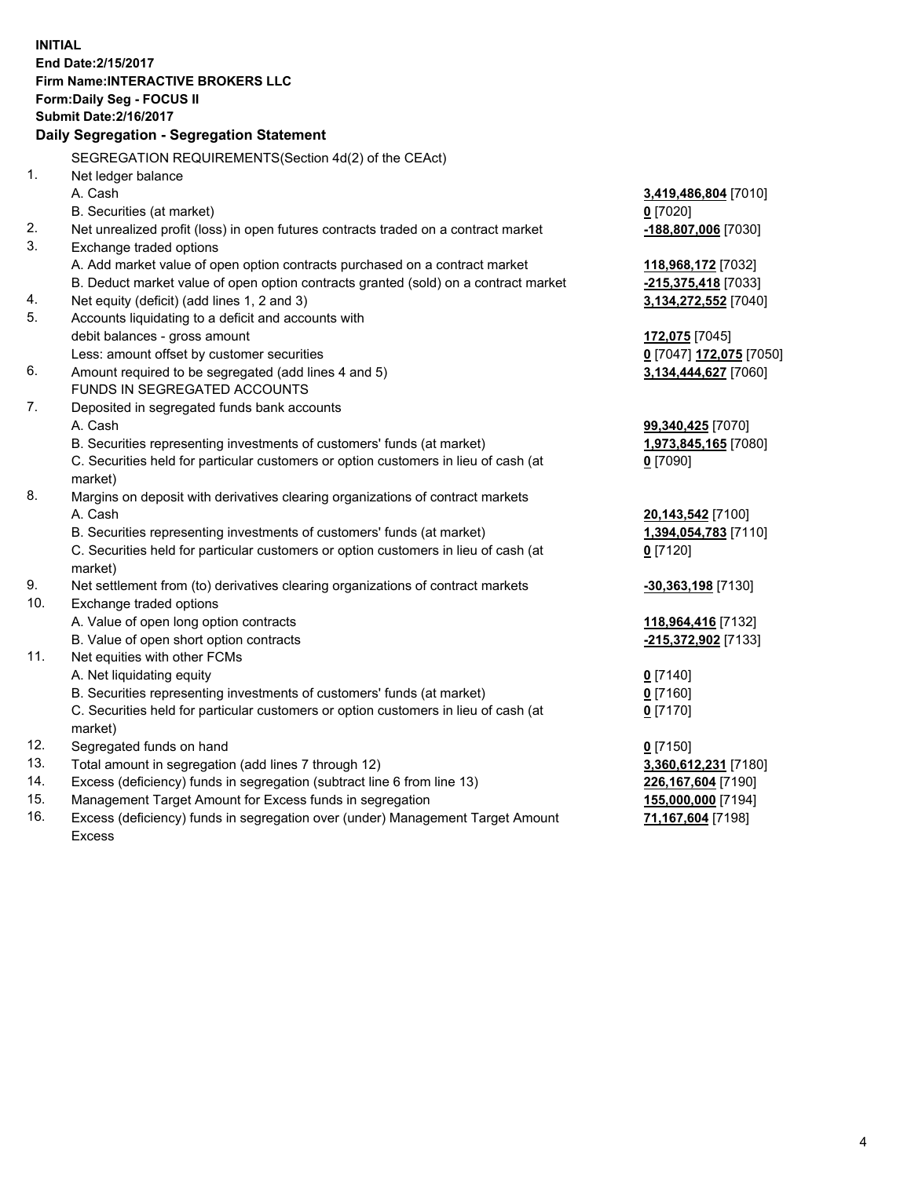**INITIAL End Date:2/15/2017 Firm Name:INTERACTIVE BROKERS LLC Form:Daily Seg - FOCUS II Submit Date:2/16/2017 Daily Segregation - Segregation Statement** SEGREGATION REQUIREMENTS(Section 4d(2) of the CEAct) 1. Net ledger balance A. Cash **3,419,486,804** [7010] B. Securities (at market) **0** [7020] 2. Net unrealized profit (loss) in open futures contracts traded on a contract market **-188,807,006** [7030] 3. Exchange traded options A. Add market value of open option contracts purchased on a contract market **118,968,172** [7032] B. Deduct market value of open option contracts granted (sold) on a contract market **-215,375,418** [7033] 4. Net equity (deficit) (add lines 1, 2 and 3) **3,134,272,552** [7040] 5. Accounts liquidating to a deficit and accounts with debit balances - gross amount **172,075** [7045] Less: amount offset by customer securities **0** [7047] **172,075** [7050] 6. Amount required to be segregated (add lines 4 and 5) **3,134,444,627** [7060] FUNDS IN SEGREGATED ACCOUNTS 7. Deposited in segregated funds bank accounts A. Cash **99,340,425** [7070] B. Securities representing investments of customers' funds (at market) **1,973,845,165** [7080] C. Securities held for particular customers or option customers in lieu of cash (at market) **0** [7090] 8. Margins on deposit with derivatives clearing organizations of contract markets A. Cash **20,143,542** [7100] B. Securities representing investments of customers' funds (at market) **1,394,054,783** [7110] C. Securities held for particular customers or option customers in lieu of cash (at market) **0** [7120] 9. Net settlement from (to) derivatives clearing organizations of contract markets **-30,363,198** [7130] 10. Exchange traded options A. Value of open long option contracts **118,964,416** [7132] B. Value of open short option contracts **-215,372,902** [7133] 11. Net equities with other FCMs A. Net liquidating equity **0** [7140] B. Securities representing investments of customers' funds (at market) **0** [7160] C. Securities held for particular customers or option customers in lieu of cash (at market) **0** [7170] 12. Segregated funds on hand **0** [7150] 13. Total amount in segregation (add lines 7 through 12) **3,360,612,231** [7180] 14. Excess (deficiency) funds in segregation (subtract line 6 from line 13) **226,167,604** [7190] 15. Management Target Amount for Excess funds in segregation **155,000,000** [7194]

16. Excess (deficiency) funds in segregation over (under) Management Target Amount Excess

**71,167,604** [7198]